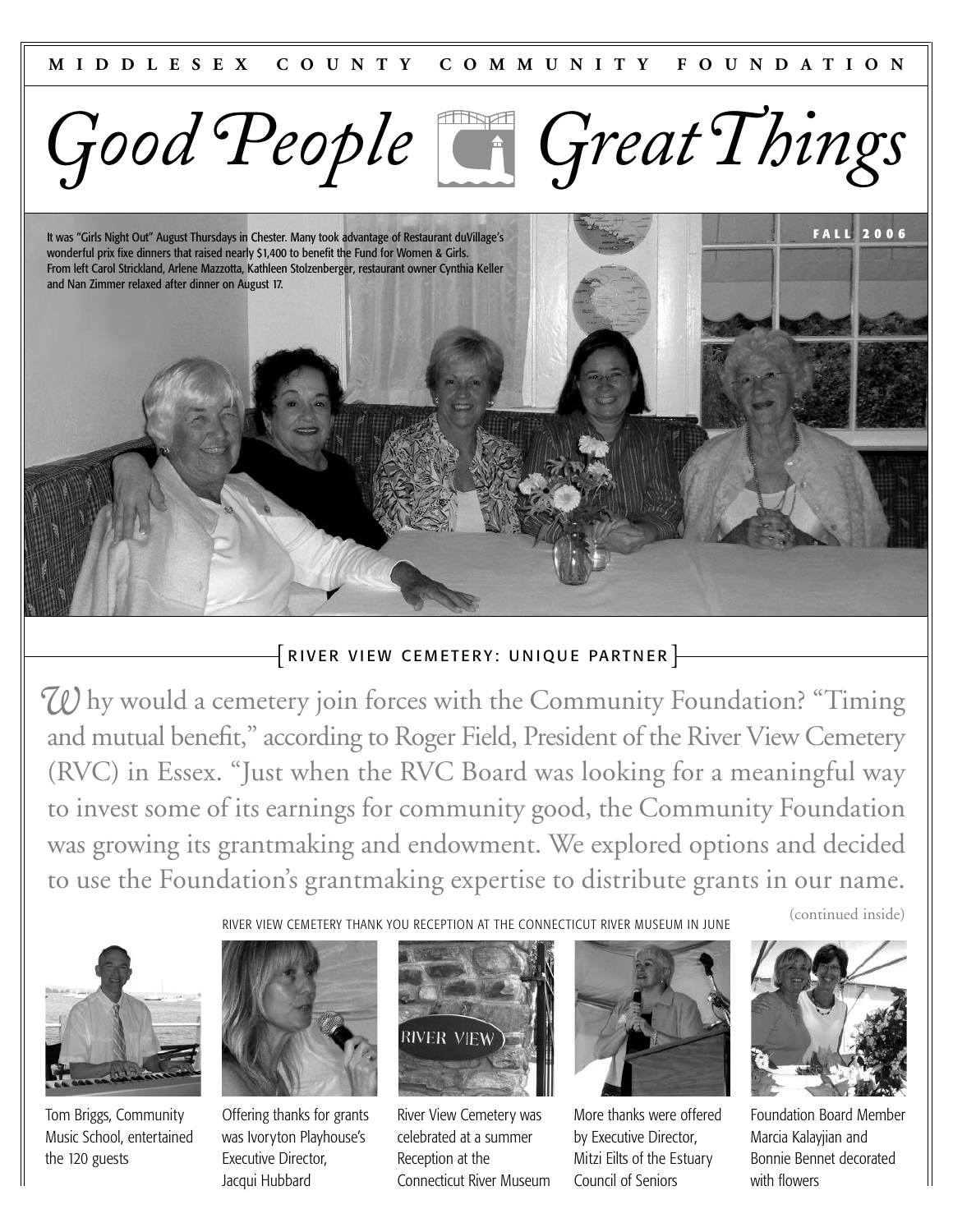

It was "Girls Night Out" August Thursdays in Chester. Many took advantage of Restaurant duVillage's wonderful prix fixe dinners that raised nearly \$1,400 to benefit the Fund for Women & Girls. From left Carol Strickland, Arlene Mazzotta, Kathleen Stolzenberger, restaurant owner Cynthia Keller and Nan Zimmer relaxed after dinner on August 17.

# $\{$  RIVER VIEW CEMETERY: UNIQUE PARTNER  $\}$

*W* hy would a cemetery join forces with the Community Foundation? "Timing and mutual benefit," according to Roger Field, President of the River View Cemetery (RVC) in Essex. "Just when the RVC Board was looking for a meaningful way to invest some of its earnings for community good, the Community Foundation was growing its grantmaking and endowment. We explored options and decided to use the Foundation's grantmaking expertise to distribute grants in our name.

(continued inside)

**FALL 2 006**



Tom Briggs, Community Music School, entertained the 120 guests



Offering thanks for grants was Ivoryton Playhouse's Executive Director, Jacqui Hubbard



RIVER VIEW CEMETERY THANK YOU RECEPTION AT THE CONNECTICUT RIVER MUSEUM IN JUNE

River View Cemetery was celebrated at a summer Reception at the Connecticut River Museum



More thanks were offered by Executive Director, Mitzi Eilts of the Estuary Council of Seniors



Foundation Board Member Marcia Kalayjian and Bonnie Bennet decorated with flowers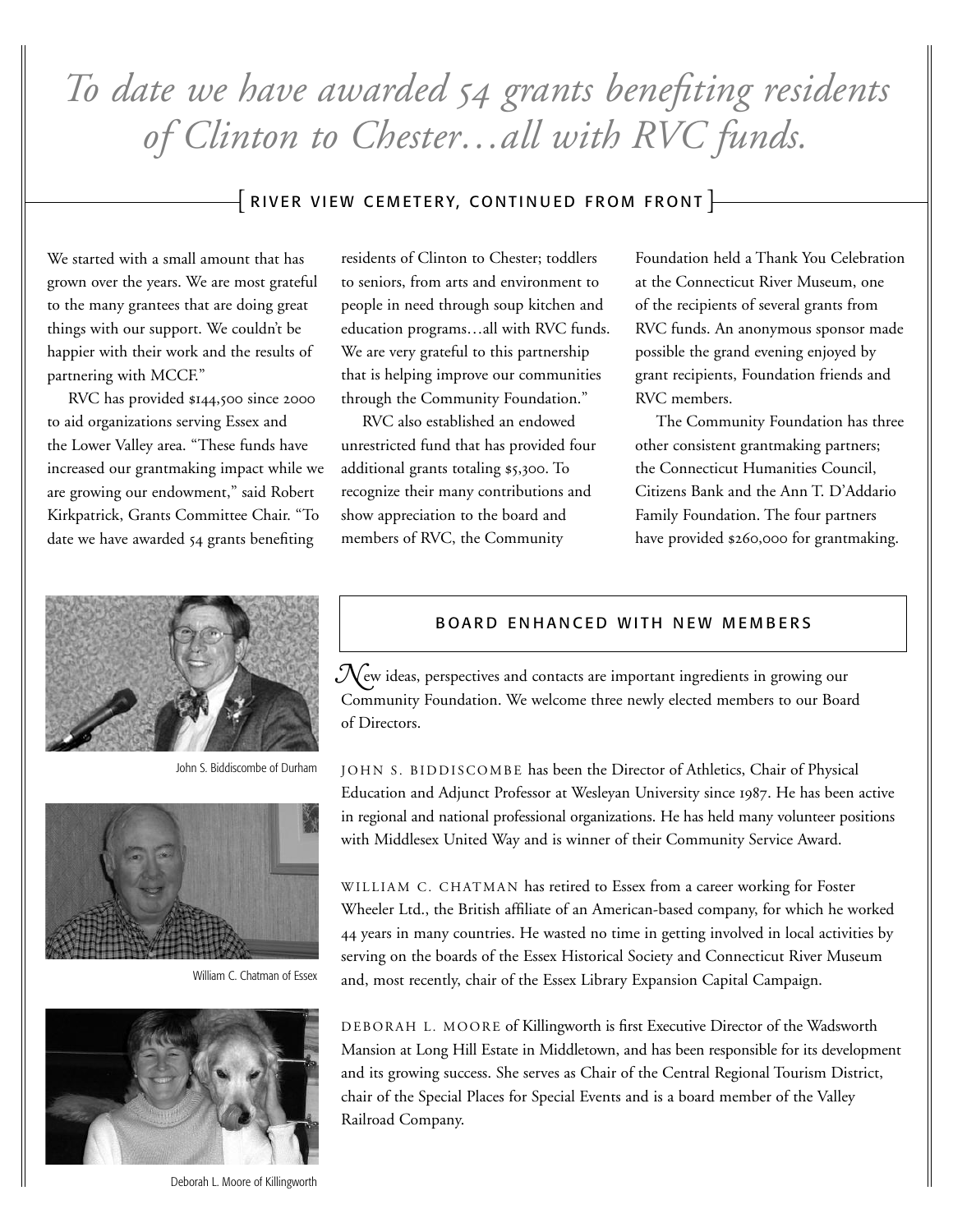*To date we have awarded grants benefiting residents of Clinton to Chester…all with RVC funds.* 

## $\bar{+}$  RIVER VIEW CEMETERY, CONTINUED FROM FRONT  $\bar{+}$

We started with a small amount that has grown over the years. We are most grateful to the many grantees that are doing great things with our support. We couldn't be happier with their work and the results of partnering with MCCF."

RVC has provided \$144,500 since 2000 to aid organizations serving Essex and the Lower Valley area. "These funds have increased our grantmaking impact while we are growing our endowment," said Robert Kirkpatrick, Grants Committee Chair. "To date we have awarded 54 grants benefiting

residents of Clinton to Chester; toddlers to seniors, from arts and environment to people in need through soup kitchen and education programs…all with RVC funds. We are very grateful to this partnership that is helping improve our communities through the Community Foundation."

RVC also established an endowed unrestricted fund that has provided four additional grants totaling \$5,300. To recognize their many contributions and show appreciation to the board and members of RVC, the Community

Foundation held a Thank You Celebration at the Connecticut River Museum, one of the recipients of several grants from RVC funds. An anonymous sponsor made possible the grand evening enjoyed by grant recipients, Foundation friends and RVC members.

The Community Foundation has three other consistent grantmaking partners; the Connecticut Humanities Council, Citizens Bank and the Ann T. D'Addario Family Foundation. The four partners have provided \$260,000 for grantmaking.



John S. Biddiscombe of Durham



William C. Chatman of Essex



Deborah L. Moore of Killingworth

#### BOARD ENHANCED WITH NEW MEMBERS

 $\mathcal{N}_{\mathrm{ew}}$  ideas, perspectives and contacts are important ingredients in growing our Community Foundation. We welcome three newly elected members to our Board of Directors.

JOHN S. BIDDISCOMBE has been the Director of Athletics, Chair of Physical Education and Adjunct Professor at Wesleyan University since 1987. He has been active in regional and national professional organizations. He has held many volunteer positions with Middlesex United Way and is winner of their Community Service Award.

WILLIAM C. CHATMAN has retired to Essex from a career working for Foster Wheeler Ltd., the British affiliate of an American-based company, for which he worked years in many countries. He wasted no time in getting involved in local activities by serving on the boards of the Essex Historical Society and Connecticut River Museum and, most recently, chair of the Essex Library Expansion Capital Campaign.

DEBORAH L. MOORE of Killingworth is first Executive Director of the Wadsworth Mansion at Long Hill Estate in Middletown, and has been responsible for its development and its growing success. She serves as Chair of the Central Regional Tourism District, chair of the Special Places for Special Events and is a board member of the Valley Railroad Company.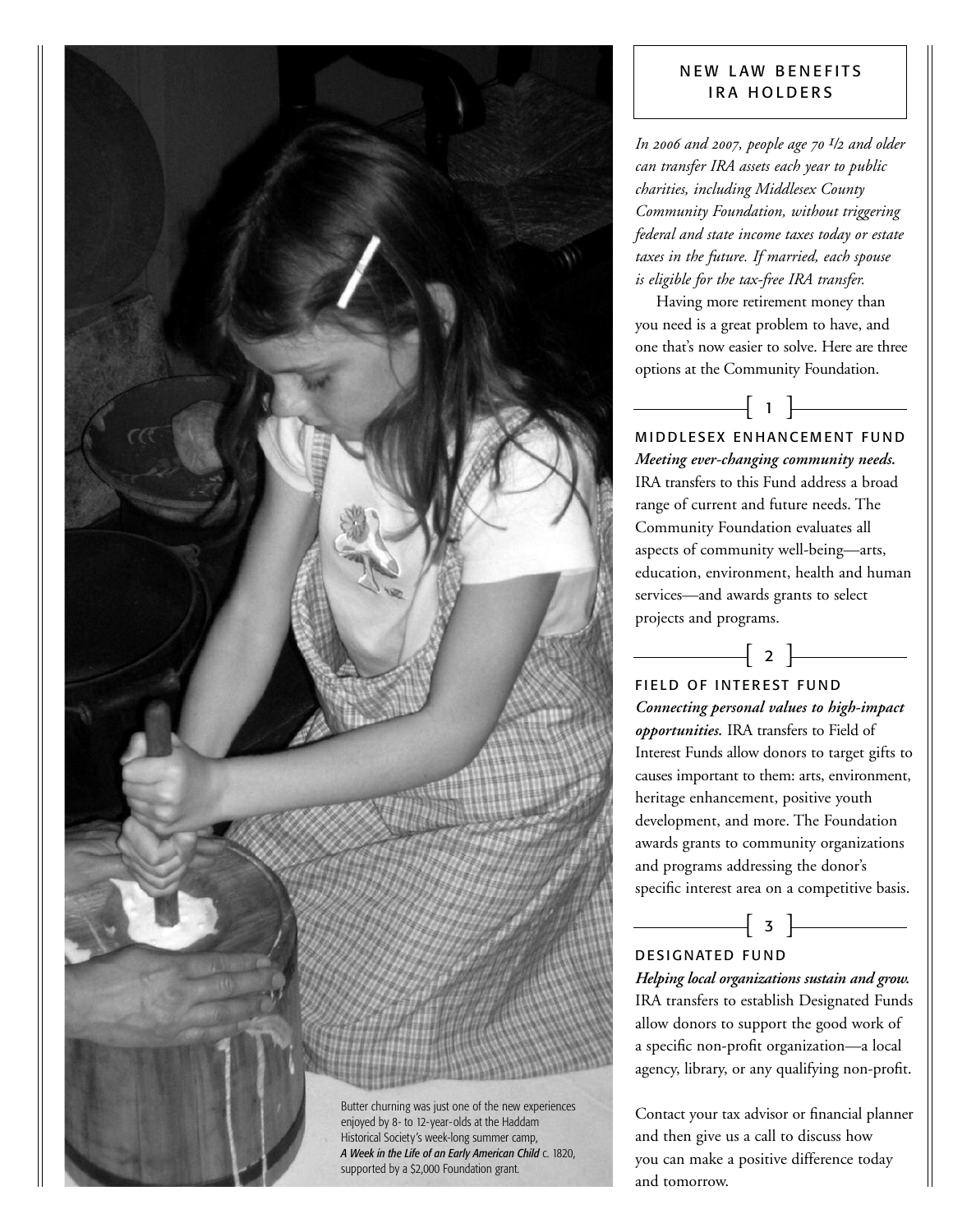

### NEW LAW BENEFITS IRA HOLDERS

*In 2006 and 2007, people age 70 1/2 and older can transfer IRA assets each year to public charities, including Middlesex County Community Foundation, without triggering federal and state income taxes today or estate taxes in the future. If married, each spouse is eligible for the tax-free IRA transfer.*

Having more retirement money than you need is a great problem to have, and one that's now easier to solve. Here are three options at the Community Foundation.

 $\begin{bmatrix} 1 \end{bmatrix}$ 

MIDDLESEX ENHANCEMENT FUND *Meeting ever-changing community needs.* IRA transfers to this Fund address a broad range of current and future needs. The Community Foundation evaluates all aspects of community well-being—arts, education, environment, health and human services—and awards grants to select projects and programs.

 $\begin{array}{|c|c|c|c|c|}\hline \quad & 2 & \\\hline \end{array}$ 

FIELD OF INTEREST FUND *Connecting personal values to high-impact opportunities.* IRA transfers to Field of Interest Funds allow donors to target gifts to causes important to them: arts, environment, heritage enhancement, positive youth development, and more. The Foundation awards grants to community organizations and programs addressing the donor's specific interest area on a competitive basis.

DESIGNATED FUND

*Helping local organizations sustain and grow.* IRA transfers to establish Designated Funds allow donors to support the good work of a specific non-profit organization—a local agency, library, or any qualifying non-profit.

 $\left[ \begin{array}{ccc} 3 & \end{array} \right]$ 

Contact your tax advisor or financial planner and then give us a call to discuss how you can make a positive difference today and tomorrow.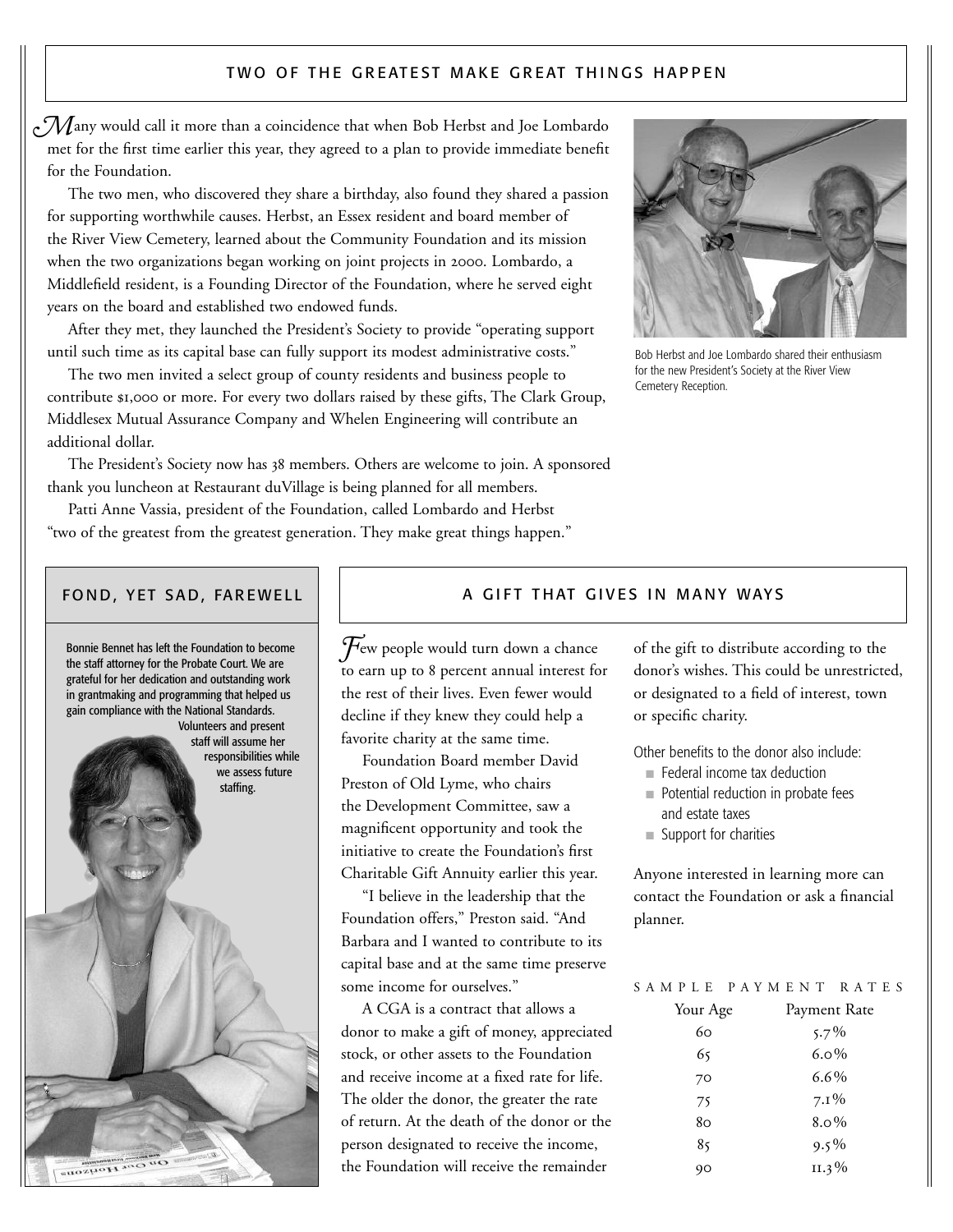#### TWO OF THE GREATEST MAKE GREAT THINGS HAPPEN

 $\sim$   $\mathcal M$ any would call it more than a coincidence that when Bob Herbst and Joe Lombardo met for the first time earlier this year, they agreed to a plan to provide immediate benefit for the Foundation.

The two men, who discovered they share a birthday, also found they shared a passion for supporting worthwhile causes. Herbst, an Essex resident and board member of the River View Cemetery, learned about the Community Foundation and its mission when the two organizations began working on joint projects in 2000. Lombardo, a Middlefield resident, is a Founding Director of the Foundation, where he served eight years on the board and established two endowed funds.

After they met, they launched the President's Society to provide "operating support until such time as its capital base can fully support its modest administrative costs."

The two men invited a select group of county residents and business people to contribute \$1,000 or more. For every two dollars raised by these gifts, The Clark Group, Middlesex Mutual Assurance Company and Whelen Engineering will contribute an additional dollar.

The President's Society now has 38 members. Others are welcome to join. A sponsored thank you luncheon at Restaurant duVillage is being planned for all members.

Patti Anne Vassia, president of the Foundation, called Lombardo and Herbst "two of the greatest from the greatest generation. They make great things happen."



Bob Herbst and Joe Lombardo shared their enthusiasm for the new President's Society at the River View Cemetery Reception.

#### FOND, YET SAD, FAREWELL



#### A GIFT THAT GIVES IN MANY WAYS

Few people would turn down a chance to earn up to 8 percent annual interest for the rest of their lives. Even fewer would decline if they knew they could help a favorite charity at the same time.

Foundation Board member David Preston of Old Lyme, who chairs the Development Committee, saw a magnificent opportunity and took the initiative to create the Foundation's first Charitable Gift Annuity earlier this year.

"I believe in the leadership that the Foundation offers," Preston said. "And Barbara and I wanted to contribute to its capital base and at the same time preserve some income for ourselves."

A CGA is a contract that allows a donor to make a gift of money, appreciated stock, or other assets to the Foundation and receive income at a fixed rate for life. The older the donor, the greater the rate of return. At the death of the donor or the person designated to receive the income, the Foundation will receive the remainder

of the gift to distribute according to the donor's wishes. This could be unrestricted, or designated to a field of interest, town or specific charity.

Other benefits to the donor also include:

- Federal income tax deduction
- Potential reduction in probate fees and estate taxes
- Support for charities

Anyone interested in learning more can contact the Foundation or ask a financial planner.

| SAMPLE PAYMENT RATES |  |              |  |  |  |
|----------------------|--|--------------|--|--|--|
| Your Age             |  | Payment Rate |  |  |  |
| 60                   |  | $5.7\%$      |  |  |  |
| 65                   |  | $6.0\%$      |  |  |  |
| 70                   |  | $6.6\%$      |  |  |  |
| 75                   |  | $7.1\%$      |  |  |  |
| 80                   |  | $8.0\%$      |  |  |  |
| 85                   |  | $9.5\%$      |  |  |  |
| 90                   |  | II.3%        |  |  |  |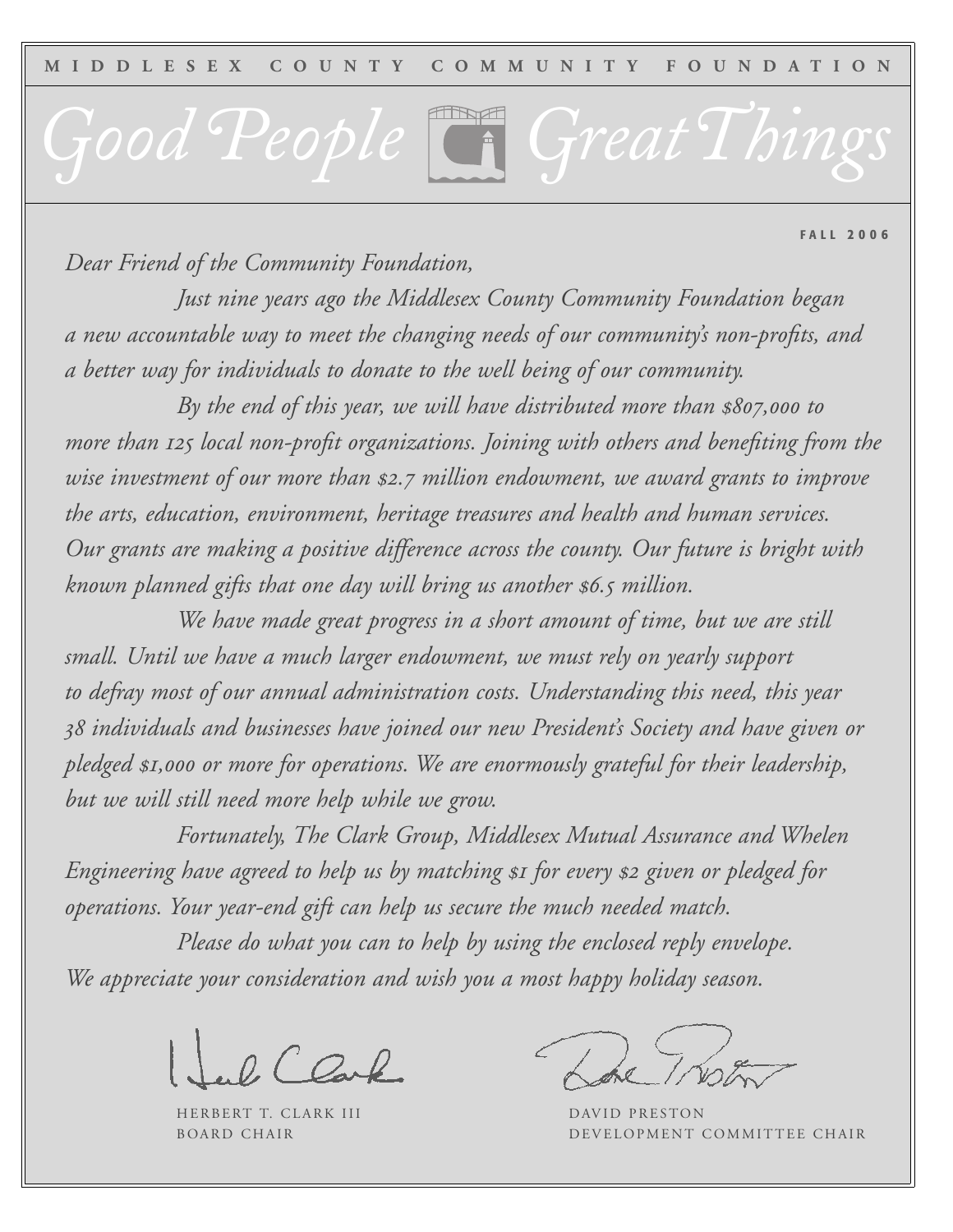*Good People GreatThings*

**FALL 2006**

*Dear Friend of the Community Foundation,*

*Just nine years ago the Middlesex County Community Foundation began a new accountable way to meet the changing needs of our community's non-profits, and a better way for individuals to donate to the well being of our community.*

*By the end of this year, we will have distributed more than \$807,000 to more than 125 local non-profit organizations. Joining with others and benefiting from the wise investment of our more than \$2.7 million endowment, we award grants to improve the arts, education, environment, heritage treasures and health and human services. Our grants are making a positive difference across the county. Our future is bright with known planned gifts that one day will bring us another \$6.5 million.*

*We have made great progress in a short amount of time, but we are still small. Until we have a much larger endowment, we must rely on yearly support to defray most of our annual administration costs. Understanding this need, this year 38 individuals and businesses have joined our new President's Society and have given or pledged \$1,000 or more for operations. We are enormously grateful for their leadership, but we will still need more help while we grow.*

*Fortunately, The Clark Group, Middlesex Mutual Assurance and Whelen Engineering have agreed to help us by matching \$1 for every \$2 given or pledged for operations. Your year-end gift can help us secure the much needed match.* 

*Please do what you can to help by using the enclosed reply envelope. We appreciate your consideration and wish you a most happy holiday season.*

 $2CQ_{\alpha}P$ 

HERBERT T. CLARK III DAVID PRESTON

BOARD CHAIR **DEVELOPMENT COMMITTEE CHAIR**